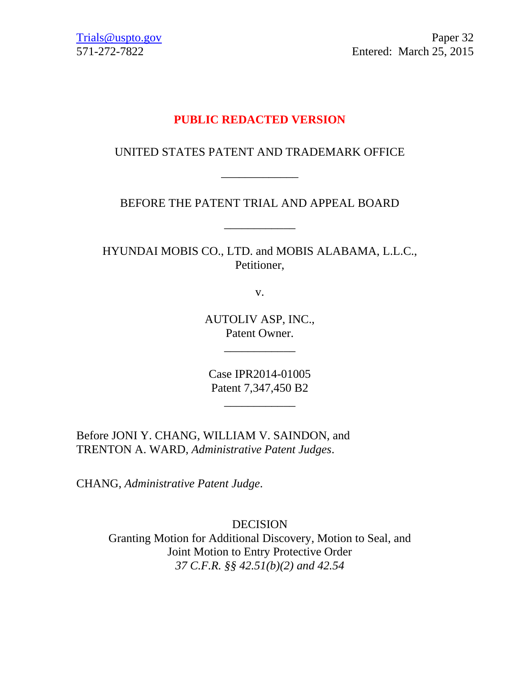[Trials@uspto.gov](mailto:Trials@uspto.gov) Paper 32 571-272-7822 Entered: March 25, 2015

## **PUBLIC REDACTED VERSION**

## UNITED STATES PATENT AND TRADEMARK OFFICE

\_\_\_\_\_\_\_\_\_\_\_\_\_

BEFORE THE PATENT TRIAL AND APPEAL BOARD

\_\_\_\_\_\_\_\_\_\_\_\_

HYUNDAI MOBIS CO., LTD. and MOBIS ALABAMA, L.L.C., Petitioner,

v.

AUTOLIV ASP, INC., Patent Owner.

\_\_\_\_\_\_\_\_\_\_\_\_

Case IPR2014-01005 Patent 7,347,450 B2

\_\_\_\_\_\_\_\_\_\_\_\_

Before JONI Y. CHANG, WILLIAM V. SAINDON, and TRENTON A. WARD, *Administrative Patent Judges*.

CHANG, *Administrative Patent Judge*.

DECISION Granting Motion for Additional Discovery, Motion to Seal, and Joint Motion to Entry Protective Order *37 C.F.R. §§ 42.51(b)(2) and 42.54*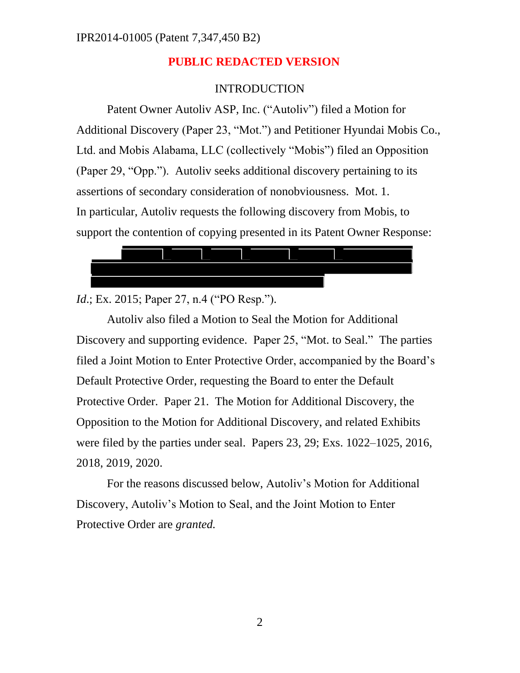### INTRODUCTION

Patent Owner Autoliv ASP, Inc. ("Autoliv") filed a Motion for Additional Discovery (Paper 23, "Mot.") and Petitioner Hyundai Mobis Co., Ltd. and Mobis Alabama, LLC (collectively "Mobis") filed an Opposition (Paper 29, "Opp."). Autoliv seeks additional discovery pertaining to its assertions of secondary consideration of nonobviousness. Mot. 1. In particular, Autoliv requests the following discovery from Mobis, to support the contention of copying presented in its Patent Owner Response:



*Id.*; Ex. 2015; Paper 27, n.4 ("PO Resp.").

Autoliv also filed a Motion to Seal the Motion for Additional Discovery and supporting evidence. Paper 25, "Mot. to Seal." The parties filed a Joint Motion to Enter Protective Order, accompanied by the Board's Default Protective Order, requesting the Board to enter the Default Protective Order. Paper 21. The Motion for Additional Discovery, the Opposition to the Motion for Additional Discovery, and related Exhibits were filed by the parties under seal. Papers 23, 29; Exs. 1022–1025, 2016, 2018, 2019, 2020.

For the reasons discussed below, Autoliv's Motion for Additional Discovery, Autoliv's Motion to Seal, and the Joint Motion to Enter Protective Order are *granted.*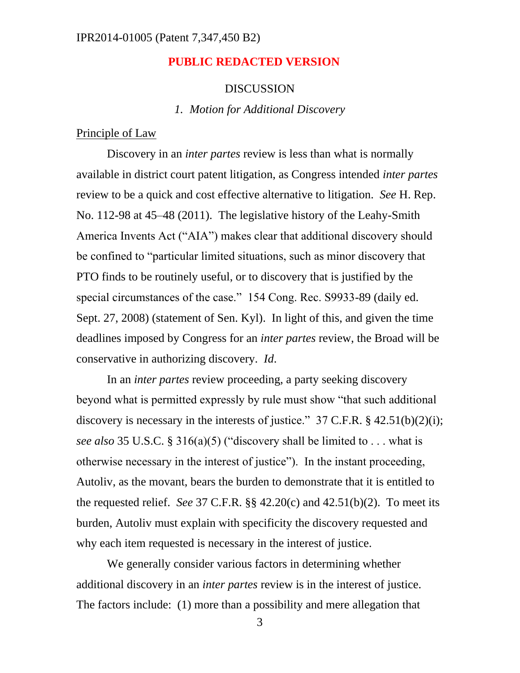#### IPR2014-01005 (Patent 7,347,450 B2)

### **PUBLIC REDACTED VERSION**

#### DISCUSSION

*1. Motion for Additional Discovery*

Principle of Law

Discovery in an *inter partes* review is less than what is normally available in district court patent litigation, as Congress intended *inter partes* review to be a quick and cost effective alternative to litigation. *See* H. Rep. No. 112-98 at 45–48 (2011). The legislative history of the Leahy-Smith America Invents Act ("AIA") makes clear that additional discovery should be confined to "particular limited situations, such as minor discovery that PTO finds to be routinely useful, or to discovery that is justified by the special circumstances of the case." 154 Cong. Rec. S9933-89 (daily ed. Sept. 27, 2008) (statement of Sen. Kyl). In light of this, and given the time deadlines imposed by Congress for an *inter partes* review, the Broad will be conservative in authorizing discovery. *Id*.

In an *inter partes* review proceeding, a party seeking discovery beyond what is permitted expressly by rule must show "that such additional discovery is necessary in the interests of justice."  $37$  C.F.R. § 42.51(b)(2)(i); *see also* 35 U.S.C. § 316(a)(5) ("discovery shall be limited to . . . what is otherwise necessary in the interest of justice"). In the instant proceeding, Autoliv, as the movant, bears the burden to demonstrate that it is entitled to the requested relief. *See* 37 C.F.R. §§ 42.20(c) and 42.51(b)(2). To meet its burden, Autoliv must explain with specificity the discovery requested and why each item requested is necessary in the interest of justice.

We generally consider various factors in determining whether additional discovery in an *inter partes* review is in the interest of justice. The factors include: (1) more than a possibility and mere allegation that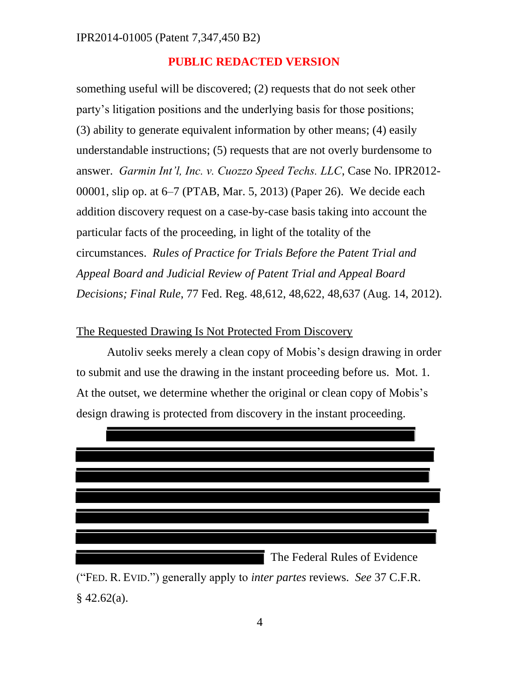something useful will be discovered; (2) requests that do not seek other party's litigation positions and the underlying basis for those positions; (3) ability to generate equivalent information by other means; (4) easily understandable instructions; (5) requests that are not overly burdensome to answer. *Garmin Int'l, Inc. v. Cuozzo Speed Techs. LLC*, Case No. IPR2012- 00001, slip op. at 6–7 (PTAB, Mar. 5, 2013) (Paper 26). We decide each addition discovery request on a case-by-case basis taking into account the particular facts of the proceeding, in light of the totality of the circumstances. *Rules of Practice for Trials Before the Patent Trial and Appeal Board and Judicial Review of Patent Trial and Appeal Board Decisions; Final Rule*, 77 Fed. Reg. 48,612, 48,622, 48,637 (Aug. 14, 2012).

### The Requested Drawing Is Not Protected From Discovery

Autoliv seeks merely a clean copy of Mobis's design drawing in order to submit and use the drawing in the instant proceeding before us. Mot. 1. At the outset, we determine whether the original or clean copy of Mobis's design drawing is protected from discovery in the instant proceeding.



("FED. R. EVID.") generally apply to *inter partes* reviews. *See* 37 C.F.R.  $§$  42.62(a).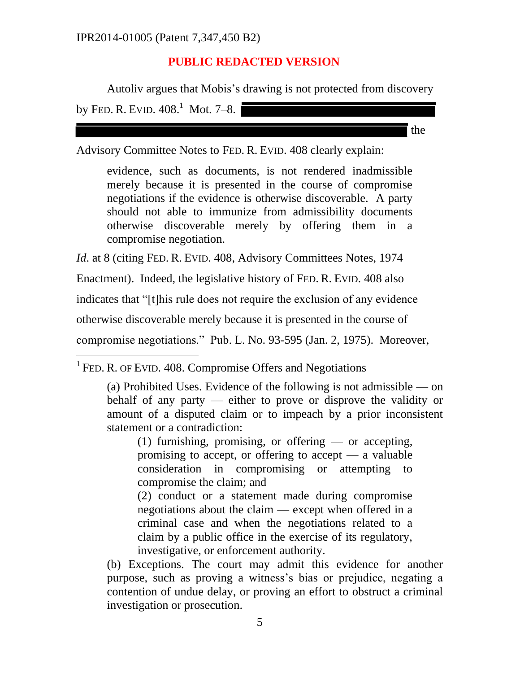Autoliv argues that Mobis's drawing is not protected from discovery by FED. R. EVID.  $408.1$  Mot. 7–8.

the

Advisory Committee Notes to FED. R. EVID. 408 clearly explain:

evidence, such as documents, is not rendered inadmissible merely because it is presented in the course of compromise negotiations if the evidence is otherwise discoverable. A party should not able to immunize from admissibility documents otherwise discoverable merely by offering them in a compromise negotiation.

*Id.* at 8 (citing FED. R. EVID. 408, Advisory Committees Notes, 1974

Enactment). Indeed, the legislative history of FED. R. EVID. 408 also

indicates that "[t]his rule does not require the exclusion of any evidence

otherwise discoverable merely because it is presented in the course of

compromise negotiations." Pub. L. No. 93-595 (Jan. 2, 1975). Moreover,

<sup>1</sup> FED. R. OF EVID. 408. Compromise Offers and Negotiations

 $\overline{a}$ 

(a) Prohibited Uses. Evidence of the following is not admissible — on behalf of any party — either to prove or disprove the validity or amount of a disputed claim or to impeach by a prior inconsistent statement or a contradiction:

(1) furnishing, promising, or offering — or accepting, promising to accept, or offering to accept  $-$  a valuable consideration in compromising or attempting to compromise the claim; and

(2) conduct or a statement made during compromise negotiations about the claim — except when offered in a criminal case and when the negotiations related to a claim by a public office in the exercise of its regulatory, investigative, or enforcement authority.

(b) Exceptions. The court may admit this evidence for another purpose, such as proving a witness's bias or prejudice, negating a contention of undue delay, or proving an effort to obstruct a criminal investigation or prosecution.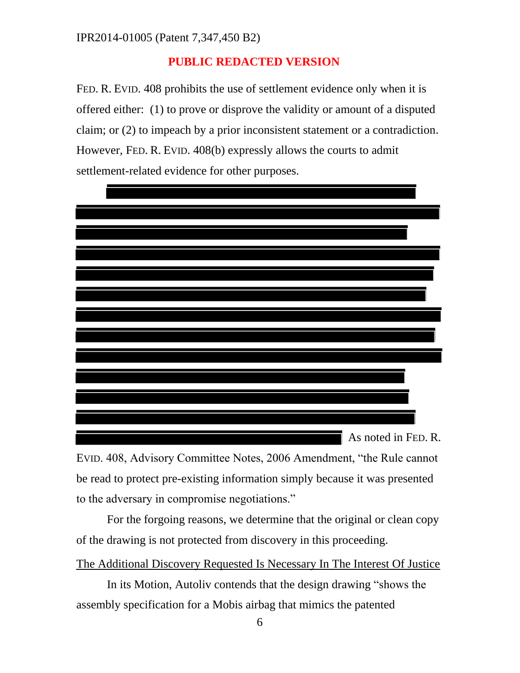FED. R. EVID. 408 prohibits the use of settlement evidence only when it is offered either: (1) to prove or disprove the validity or amount of a disputed claim; or (2) to impeach by a prior inconsistent statement or a contradiction. However, FED. R. EVID. 408(b) expressly allows the courts to admit settlement-related evidence for other purposes.



EVID. 408, Advisory Committee Notes, 2006 Amendment, "the Rule cannot be read to protect pre-existing information simply because it was presented to the adversary in compromise negotiations."

For the forgoing reasons, we determine that the original or clean copy of the drawing is not protected from discovery in this proceeding.

The Additional Discovery Requested Is Necessary In The Interest Of Justice

In its Motion, Autoliv contends that the design drawing "shows the assembly specification for a Mobis airbag that mimics the patented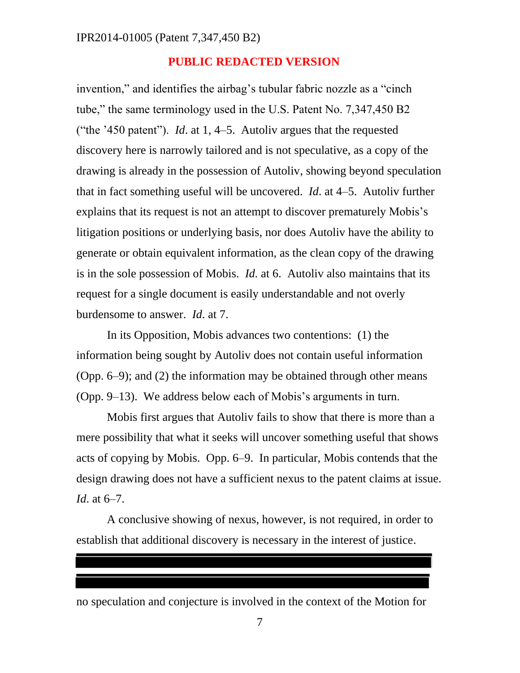invention," and identifies the airbag's tubular fabric nozzle as a "cinch tube," the same terminology used in the U.S. Patent No. 7,347,450 B2 ("the '450 patent"). *Id*. at 1, 4–5. Autoliv argues that the requested discovery here is narrowly tailored and is not speculative, as a copy of the drawing is already in the possession of Autoliv, showing beyond speculation that in fact something useful will be uncovered. *Id*. at 4–5. Autoliv further explains that its request is not an attempt to discover prematurely Mobis's litigation positions or underlying basis, nor does Autoliv have the ability to generate or obtain equivalent information, as the clean copy of the drawing is in the sole possession of Mobis. *Id.* at 6. Autoliv also maintains that its request for a single document is easily understandable and not overly burdensome to answer. *Id*. at 7.

In its Opposition, Mobis advances two contentions: (1) the information being sought by Autoliv does not contain useful information (Opp. 6–9); and (2) the information may be obtained through other means (Opp. 9–13). We address below each of Mobis's arguments in turn.

Mobis first argues that Autoliv fails to show that there is more than a mere possibility that what it seeks will uncover something useful that shows acts of copying by Mobis. Opp. 6–9. In particular, Mobis contends that the design drawing does not have a sufficient nexus to the patent claims at issue. *Id*. at 6–7.

A conclusive showing of nexus, however, is not required, in order to establish that additional discovery is necessary in the interest of justice.

no speculation and conjecture is involved in the context of the Motion for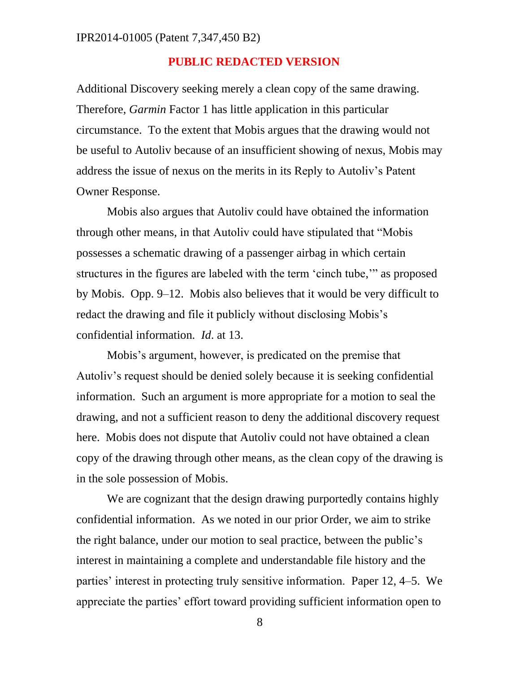Additional Discovery seeking merely a clean copy of the same drawing. Therefore, *Garmin* Factor 1 has little application in this particular circumstance. To the extent that Mobis argues that the drawing would not be useful to Autoliv because of an insufficient showing of nexus, Mobis may address the issue of nexus on the merits in its Reply to Autoliv's Patent Owner Response.

Mobis also argues that Autoliv could have obtained the information through other means, in that Autoliv could have stipulated that "Mobis possesses a schematic drawing of a passenger airbag in which certain structures in the figures are labeled with the term 'cinch tube,'" as proposed by Mobis. Opp. 9–12. Mobis also believes that it would be very difficult to redact the drawing and file it publicly without disclosing Mobis's confidential information. *Id*. at 13.

Mobis's argument, however, is predicated on the premise that Autoliv's request should be denied solely because it is seeking confidential information. Such an argument is more appropriate for a motion to seal the drawing, and not a sufficient reason to deny the additional discovery request here. Mobis does not dispute that Autoliv could not have obtained a clean copy of the drawing through other means, as the clean copy of the drawing is in the sole possession of Mobis.

We are cognizant that the design drawing purportedly contains highly confidential information. As we noted in our prior Order, we aim to strike the right balance, under our motion to seal practice, between the public's interest in maintaining a complete and understandable file history and the parties' interest in protecting truly sensitive information. Paper 12, 4–5. We appreciate the parties' effort toward providing sufficient information open to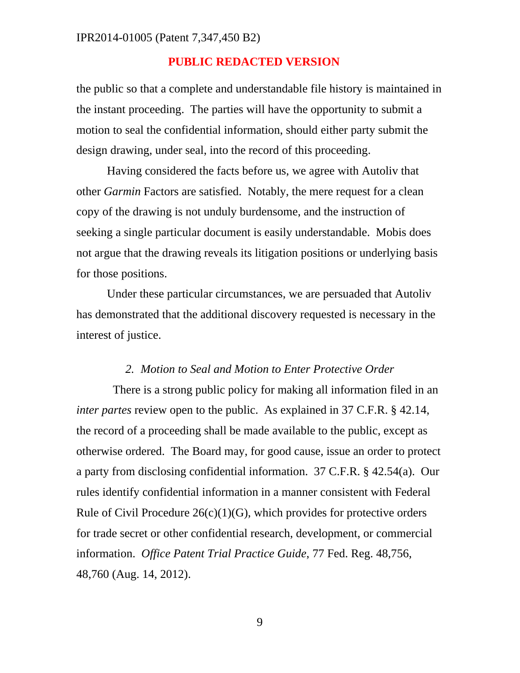the public so that a complete and understandable file history is maintained in the instant proceeding. The parties will have the opportunity to submit a motion to seal the confidential information, should either party submit the design drawing, under seal, into the record of this proceeding.

Having considered the facts before us, we agree with Autoliv that other *Garmin* Factors are satisfied. Notably, the mere request for a clean copy of the drawing is not unduly burdensome, and the instruction of seeking a single particular document is easily understandable. Mobis does not argue that the drawing reveals its litigation positions or underlying basis for those positions.

Under these particular circumstances, we are persuaded that Autoliv has demonstrated that the additional discovery requested is necessary in the interest of justice.

#### *2. Motion to Seal and Motion to Enter Protective Order*

 There is a strong public policy for making all information filed in an *inter partes* review open to the public. As explained in 37 C.F.R. § 42.14, the record of a proceeding shall be made available to the public, except as otherwise ordered. The Board may, for good cause, issue an order to protect a party from disclosing confidential information. 37 C.F.R. § 42.54(a). Our rules identify confidential information in a manner consistent with Federal Rule of Civil Procedure  $26(c)(1)(G)$ , which provides for protective orders for trade secret or other confidential research, development, or commercial information. *Office Patent Trial Practice Guide*, 77 Fed. Reg. 48,756, 48,760 (Aug. 14, 2012).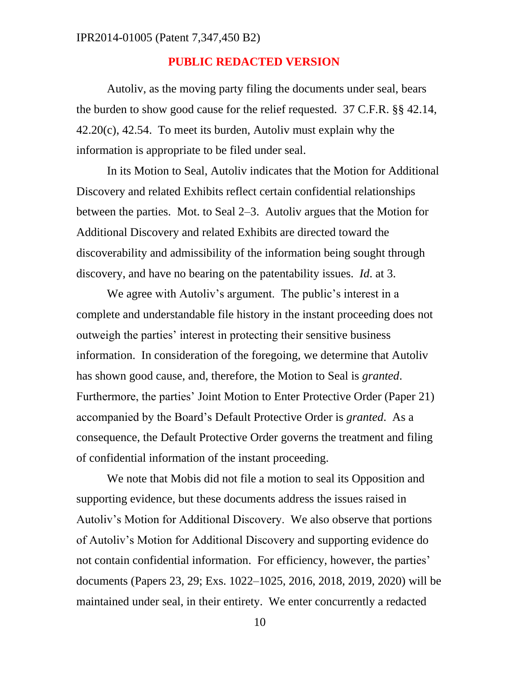Autoliv, as the moving party filing the documents under seal, bears the burden to show good cause for the relief requested. 37 C.F.R. §§ 42.14,  $42.20(c)$ ,  $42.54$ . To meet its burden, Autoliv must explain why the information is appropriate to be filed under seal.

In its Motion to Seal, Autoliv indicates that the Motion for Additional Discovery and related Exhibits reflect certain confidential relationships between the parties. Mot. to Seal 2–3. Autoliv argues that the Motion for Additional Discovery and related Exhibits are directed toward the discoverability and admissibility of the information being sought through discovery, and have no bearing on the patentability issues. *Id*. at 3.

We agree with Autoliv's argument. The public's interest in a complete and understandable file history in the instant proceeding does not outweigh the parties' interest in protecting their sensitive business information. In consideration of the foregoing, we determine that Autoliv has shown good cause, and, therefore, the Motion to Seal is *granted*. Furthermore, the parties' Joint Motion to Enter Protective Order (Paper 21) accompanied by the Board's Default Protective Order is *granted*. As a consequence, the Default Protective Order governs the treatment and filing of confidential information of the instant proceeding.

We note that Mobis did not file a motion to seal its Opposition and supporting evidence, but these documents address the issues raised in Autoliv's Motion for Additional Discovery. We also observe that portions of Autoliv's Motion for Additional Discovery and supporting evidence do not contain confidential information. For efficiency, however, the parties' documents (Papers 23, 29; Exs. 1022–1025, 2016, 2018, 2019, 2020) will be maintained under seal, in their entirety. We enter concurrently a redacted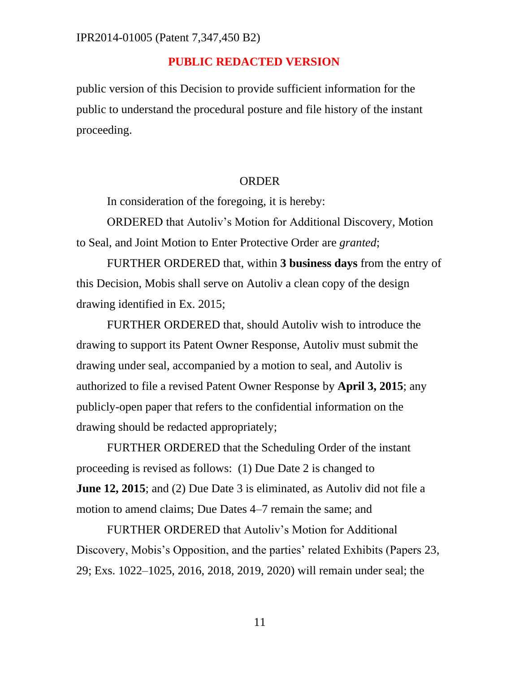public version of this Decision to provide sufficient information for the public to understand the procedural posture and file history of the instant proceeding.

#### ORDER

In consideration of the foregoing, it is hereby:

ORDERED that Autoliv's Motion for Additional Discovery, Motion to Seal, and Joint Motion to Enter Protective Order are *granted*;

FURTHER ORDERED that, within **3 business days** from the entry of this Decision, Mobis shall serve on Autoliv a clean copy of the design drawing identified in Ex. 2015;

FURTHER ORDERED that, should Autoliv wish to introduce the drawing to support its Patent Owner Response, Autoliv must submit the drawing under seal, accompanied by a motion to seal, and Autoliv is authorized to file a revised Patent Owner Response by **April 3, 2015**; any publicly-open paper that refers to the confidential information on the drawing should be redacted appropriately;

FURTHER ORDERED that the Scheduling Order of the instant proceeding is revised as follows: (1) Due Date 2 is changed to **June 12, 2015**; and (2) Due Date 3 is eliminated, as Autoliv did not file a motion to amend claims; Due Dates 4–7 remain the same; and

FURTHER ORDERED that Autoliv's Motion for Additional Discovery, Mobis's Opposition, and the parties' related Exhibits (Papers 23, 29; Exs. 1022–1025, 2016, 2018, 2019, 2020) will remain under seal; the